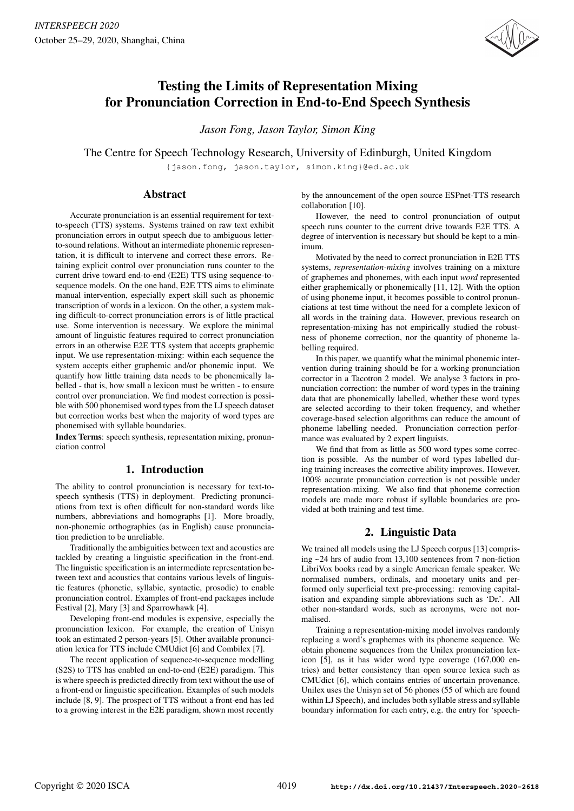

# Testing the Limits of Representation Mixing for Pronunciation Correction in End-to-End Speech Synthesis

*Jason Fong, Jason Taylor, Simon King*

The Centre for Speech Technology Research, University of Edinburgh, United Kingdom

{jason.fong, jason.taylor, simon.king}@ed.ac.uk

## Abstract

Accurate pronunciation is an essential requirement for textto-speech (TTS) systems. Systems trained on raw text exhibit pronunciation errors in output speech due to ambiguous letterto-sound relations. Without an intermediate phonemic representation, it is difficult to intervene and correct these errors. Retaining explicit control over pronunciation runs counter to the current drive toward end-to-end (E2E) TTS using sequence-tosequence models. On the one hand, E2E TTS aims to eliminate manual intervention, especially expert skill such as phonemic transcription of words in a lexicon. On the other, a system making difficult-to-correct pronunciation errors is of little practical use. Some intervention is necessary. We explore the minimal amount of linguistic features required to correct pronunciation errors in an otherwise E2E TTS system that accepts graphemic input. We use representation-mixing: within each sequence the system accepts either graphemic and/or phonemic input. We quantify how little training data needs to be phonemically labelled - that is, how small a lexicon must be written - to ensure control over pronunciation. We find modest correction is possible with 500 phonemised word types from the LJ speech dataset but correction works best when the majority of word types are phonemised with syllable boundaries.

Index Terms: speech synthesis, representation mixing, pronunciation control

## 1. Introduction

The ability to control pronunciation is necessary for text-tospeech synthesis (TTS) in deployment. Predicting pronunciations from text is often difficult for non-standard words like numbers, abbreviations and homographs [1]. More broadly, non-phonemic orthographies (as in English) cause pronunciation prediction to be unreliable.

Traditionally the ambiguities between text and acoustics are tackled by creating a linguistic specification in the front-end. The linguistic specification is an intermediate representation between text and acoustics that contains various levels of linguistic features (phonetic, syllabic, syntactic, prosodic) to enable pronunciation control. Examples of front-end packages include Festival [2], Mary [3] and Sparrowhawk [4].

Developing front-end modules is expensive, especially the pronunciation lexicon. For example, the creation of Unisyn took an estimated 2 person-years [5]. Other available pronunciation lexica for TTS include CMUdict [6] and Combilex [7].

The recent application of sequence-to-sequence modelling (S2S) to TTS has enabled an end-to-end (E2E) paradigm. This is where speech is predicted directly from text without the use of a front-end or linguistic specification. Examples of such models include [8, 9]. The prospect of TTS without a front-end has led to a growing interest in the E2E paradigm, shown most recently by the announcement of the open source ESPnet-TTS research collaboration [10].

However, the need to control pronunciation of output speech runs counter to the current drive towards E2E TTS. A degree of intervention is necessary but should be kept to a minimum.

Motivated by the need to correct pronunciation in E2E TTS systems, *representation-mixing* involves training on a mixture of graphemes and phonemes, with each input *word* represented either graphemically or phonemically [11, 12]. With the option of using phoneme input, it becomes possible to control pronunciations at test time without the need for a complete lexicon of all words in the training data. However, previous research on representation-mixing has not empirically studied the robustness of phoneme correction, nor the quantity of phoneme labelling required.

In this paper, we quantify what the minimal phonemic intervention during training should be for a working pronunciation corrector in a Tacotron 2 model. We analyse 3 factors in pronunciation correction: the number of word types in the training data that are phonemically labelled, whether these word types are selected according to their token frequency, and whether coverage-based selection algorithms can reduce the amount of phoneme labelling needed. Pronunciation correction performance was evaluated by 2 expert linguists.

We find that from as little as 500 word types some correction is possible. As the number of word types labelled during training increases the corrective ability improves. However, 100% accurate pronunciation correction is not possible under representation-mixing. We also find that phoneme correction models are made more robust if syllable boundaries are provided at both training and test time.

## 2. Linguistic Data

We trained all models using the LJ Speech corpus [13] comprising ~24 hrs of audio from 13,100 sentences from 7 non-fiction LibriVox books read by a single American female speaker. We normalised numbers, ordinals, and monetary units and performed only superficial text pre-processing: removing capitalisation and expanding simple abbreviations such as 'Dr.'. All other non-standard words, such as acronyms, were not normalised.

Training a representation-mixing model involves randomly replacing a word's graphemes with its phoneme sequence. We obtain phoneme sequences from the Unilex pronunciation lexicon [5], as it has wider word type coverage (167,000 entries) and better consistency than open source lexica such as CMUdict [6], which contains entries of uncertain provenance. Unilex uses the Unisyn set of 56 phones (55 of which are found within LJ Speech), and includes both syllable stress and syllable boundary information for each entry, e.g. the entry for 'speech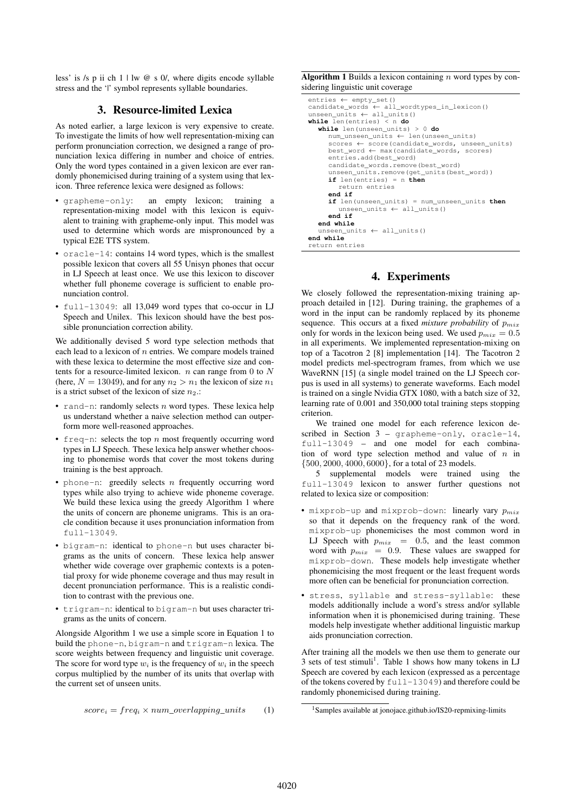less' is /s p ii ch 1 | lw @ s 0/, where digits encode syllable stress and the '|' symbol represents syllable boundaries.

## 3. Resource-limited Lexica

As noted earlier, a large lexicon is very expensive to create. To investigate the limits of how well representation-mixing can perform pronunciation correction, we designed a range of pronunciation lexica differing in number and choice of entries. Only the word types contained in a given lexicon are ever randomly phonemicised during training of a system using that lexicon. Three reference lexica were designed as follows:

- grapheme-only: an empty lexicon; training a representation-mixing model with this lexicon is equivalent to training with grapheme-only input. This model was used to determine which words are mispronounced by a typical E2E TTS system.
- oracle-14: contains 14 word types, which is the smallest possible lexicon that covers all 55 Unisyn phones that occur in LJ Speech at least once. We use this lexicon to discover whether full phoneme coverage is sufficient to enable pronunciation control.
- full-13049: all 13,049 word types that co-occur in LJ Speech and Unilex. This lexicon should have the best possible pronunciation correction ability.

We additionally devised 5 word type selection methods that each lead to a lexicon of  $n$  entries. We compare models trained with these lexica to determine the most effective size and contents for a resource-limited lexicon.  $n$  can range from 0 to  $N$ (here,  $N = 13049$ ), and for any  $n_2 > n_1$  the lexicon of size  $n_1$ is a strict subset of the lexicon of size  $n_2$ .:

- rand-n: randomly selects  $n$  word types. These lexica help us understand whether a naive selection method can outperform more well-reasoned approaches.
- freq-n: selects the top  $n$  most frequently occurring word types in LJ Speech. These lexica help answer whether choosing to phonemise words that cover the most tokens during training is the best approach.
- phone-n: greedily selects  $n$  frequently occurring word types while also trying to achieve wide phoneme coverage. We build these lexica using the greedy Algorithm 1 where the units of concern are phoneme unigrams. This is an oracle condition because it uses pronunciation information from full-13049.
- bigram-n: identical to phone-n but uses character bigrams as the units of concern. These lexica help answer whether wide coverage over graphemic contexts is a potential proxy for wide phoneme coverage and thus may result in decent pronunciation performance. This is a realistic condition to contrast with the previous one.
- trigram-n: identical to bigram-n but uses character trigrams as the units of concern.

Alongside Algorithm 1 we use a simple score in Equation 1 to build the phone-n, bigram-n and trigram-n lexica. The score weights between frequency and linguistic unit coverage. The score for word type  $w_i$  is the frequency of  $w_i$  in the speech corpus multiplied by the number of its units that overlap with the current set of unseen units.

$$
score_i = freq_i \times num\_overlapping\_units
$$
 (1)

**Algorithm 1** Builds a lexicon containing  $n$  word types by considering linguistic unit coverage

```
entries ← empty_set()
candidate_words ← all_wordtypes_in_lexicon()
unseen_units ← all_units()
while len(entries) < n do
  while len(unseen_units) > 0 do
     num_unseen_units ← len(unseen_units)
     scores ← score(candidate_words, unseen_units)
     best_word ← max(candidate_words, scores)
     entries.add(best_word)
     candidate_words.remove(best_word)
      unseen_units.remove(get_units(best_word))
     if len(entries) = n then
        return entries
     end if
     if len(unseen_units) = num_unseen_units then
unseen_units ← all_units()
     end if
  end while
  unseen_units ← all_units()
end while
return entries
```
## 4. Experiments

We closely followed the representation-mixing training approach detailed in [12]. During training, the graphemes of a word in the input can be randomly replaced by its phoneme sequence. This occurs at a fixed *mixture probability* of  $p_{mix}$ only for words in the lexicon being used. We used  $p_{mix} = 0.5$ in all experiments. We implemented representation-mixing on top of a Tacotron 2 [8] implementation [14]. The Tacotron 2 model predicts mel-spectrogram frames, from which we use WaveRNN [15] (a single model trained on the LJ Speech corpus is used in all systems) to generate waveforms. Each model is trained on a single Nvidia GTX 1080, with a batch size of 32, learning rate of 0.001 and 350,000 total training steps stopping criterion.

We trained one model for each reference lexicon described in Section  $3$  – grapheme-only, oracle-14, full-13049 – and one model for each combination of word type selection method and value of  $n$  in {500, 2000, 4000, 6000}, for a total of 23 models.

5 supplemental models were trained using the full-13049 lexicon to answer further questions not related to lexica size or composition:

- mixprob-up and mixprob-down: linearly vary  $p_{mix}$ so that it depends on the frequency rank of the word. mixprob-up phonemicises the most common word in LJ Speech with  $p_{mix} = 0.5$ , and the least common word with  $p_{mix} = 0.9$ . These values are swapped for mixprob-down. These models help investigate whether phonemicising the most frequent or the least frequent words more often can be beneficial for pronunciation correction.
- stress, syllable and stress-syllable: these models additionally include a word's stress and/or syllable information when it is phonemicised during training. These models help investigate whether additional linguistic markup aids pronunciation correction.

After training all the models we then use them to generate our 3 sets of test stimuli<sup>1</sup>. Table 1 shows how many tokens in  $LJ$ Speech are covered by each lexicon (expressed as a percentage of the tokens covered by full-13049) and therefore could be randomly phonemicised during training.

<sup>&</sup>lt;sup>1</sup>Samples available at jonojace.github.io/IS20-repmixing-limits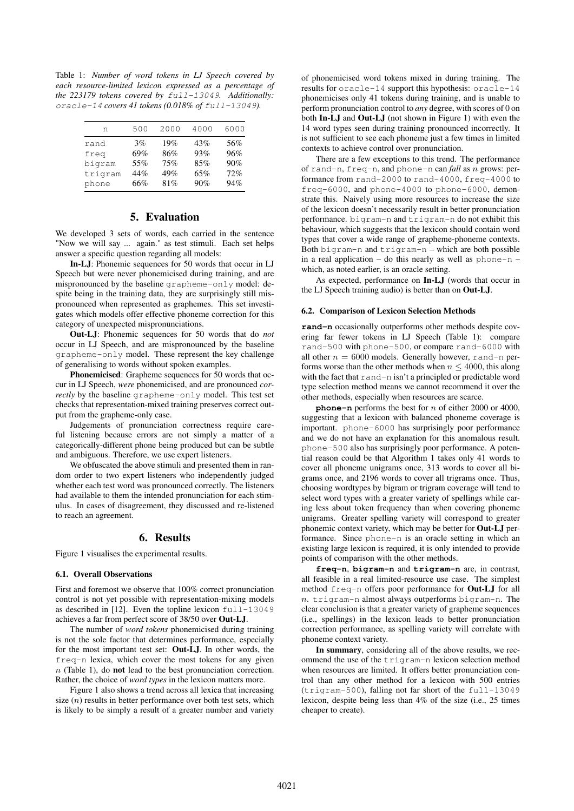Table 1: *Number of word tokens in LJ Speech covered by each resource-limited lexicon expressed as a percentage of the 223179 tokens covered by* full-13049*. Additionally:* oracle-14 *covers 41 tokens (0.018% of* full-13049*).*

| n       | 500 | 2000 | 4000 | 6000 |
|---------|-----|------|------|------|
| rand    | 3%  | 19%  | 43%  | 56%  |
| freq    | 69% | 86%  | 93%  | 96%  |
| bigram  | 55% | 75%  | 85%  | 90%  |
| trigram | 44% | 49%  | 65%  | 72%  |
| phone   | 66% | 81%  | 90%  | 94%  |

## 5. Evaluation

We developed 3 sets of words, each carried in the sentence "Now we will say ... again." as test stimuli. Each set helps answer a specific question regarding all models:

In-LJ: Phonemic sequences for 50 words that occur in LJ Speech but were never phonemicised during training, and are mispronounced by the baseline grapheme-only model: despite being in the training data, they are surprisingly still mispronounced when represented as graphemes. This set investigates which models offer effective phoneme correction for this category of unexpected mispronunciations.

Out-LJ: Phonemic sequences for 50 words that do *not* occur in LJ Speech, and are mispronounced by the baseline grapheme-only model. These represent the key challenge of generalising to words without spoken examples.

Phonemicised: Grapheme sequences for 50 words that occur in LJ Speech, *were* phonemicised, and are pronounced *correctly* by the baseline grapheme-only model. This test set checks that representation-mixed training preserves correct output from the grapheme-only case.

Judgements of pronunciation correctness require careful listening because errors are not simply a matter of a categorically-different phone being produced but can be subtle and ambiguous. Therefore, we use expert listeners.

We obfuscated the above stimuli and presented them in random order to two expert listeners who independently judged whether each test word was pronounced correctly. The listeners had available to them the intended pronunciation for each stimulus. In cases of disagreement, they discussed and re-listened to reach an agreement.

#### 6. Results

Figure 1 visualises the experimental results.

### 6.1. Overall Observations

First and foremost we observe that 100% correct pronunciation control is not yet possible with representation-mixing models as described in [12]. Even the topline lexicon full-13049 achieves a far from perfect score of 38/50 over Out-LJ.

The number of *word tokens* phonemicised during training is not the sole factor that determines performance, especially for the most important test set: Out-LJ. In other words, the  $f$ req-n lexica, which cover the most tokens for any given  $n$  (Table 1), do **not** lead to the best pronunciation correction. Rather, the choice of *word types* in the lexicon matters more.

Figure 1 also shows a trend across all lexica that increasing size  $(n)$  results in better performance over both test sets, which is likely to be simply a result of a greater number and variety of phonemicised word tokens mixed in during training. The results for oracle-14 support this hypothesis: oracle-14 phonemicises only 41 tokens during training, and is unable to perform pronunciation control to *any* degree, with scores of 0 on both In-LJ and Out-LJ (not shown in Figure 1) with even the 14 word types seen during training pronounced incorrectly. It is not sufficient to see each phoneme just a few times in limited contexts to achieve control over pronunciation.

There are a few exceptions to this trend. The performance of rand-n, freq-n, and phone-n can *fall* as n grows: performance from rand-2000 to rand-4000, freq-4000 to freq-6000, and phone-4000 to phone-6000, demonstrate this. Naively using more resources to increase the size of the lexicon doesn't necessarily result in better pronunciation performance. bigram-n and trigram-n do not exhibit this behaviour, which suggests that the lexicon should contain word types that cover a wide range of grapheme-phoneme contexts. Both bigram-n and trigram-n – which are both possible in a real application – do this nearly as well as phone-n – which, as noted earlier, is an oracle setting.

As expected, performance on In-LJ (words that occur in the LJ Speech training audio) is better than on Out-LJ.

#### 6.2. Comparison of Lexicon Selection Methods

**rand-n** occasionally outperforms other methods despite covering far fewer tokens in LJ Speech (Table 1): compare rand-500 with phone-500, or compare rand-6000 with all other  $n = 6000$  models. Generally however, rand-n performs worse than the other methods when  $n \leq 4000$ , this along with the fact that rand-n isn't a principled or predictable word type selection method means we cannot recommend it over the other methods, especially when resources are scarce.

**phone-n** performs the best for n of either 2000 or 4000, suggesting that a lexicon with balanced phoneme coverage is important. phone-6000 has surprisingly poor performance and we do not have an explanation for this anomalous result. phone-500 also has surprisingly poor performance. A potential reason could be that Algorithm 1 takes only 41 words to cover all phoneme unigrams once, 313 words to cover all bigrams once, and 2196 words to cover all trigrams once. Thus, choosing wordtypes by bigram or trigram coverage will tend to select word types with a greater variety of spellings while caring less about token frequency than when covering phoneme unigrams. Greater spelling variety will correspond to greater phonemic context variety, which may be better for Out-LJ performance. Since phone-n is an oracle setting in which an existing large lexicon is required, it is only intended to provide points of comparison with the other methods.

**freq-n**, **bigram-n** and **trigram-n** are, in contrast, all feasible in a real limited-resource use case. The simplest method freq-n offers poor performance for Out-LJ for all  $n.$  trigram-n almost always outperforms bigram-n. The clear conclusion is that a greater variety of grapheme sequences (i.e., spellings) in the lexicon leads to better pronunciation correction performance, as spelling variety will correlate with phoneme context variety.

In summary, considering all of the above results, we recommend the use of the trigram-n lexicon selection method when resources are limited. It offers better pronunciation control than any other method for a lexicon with 500 entries (trigram-500), falling not far short of the full-13049 lexicon, despite being less than 4% of the size (i.e., 25 times cheaper to create).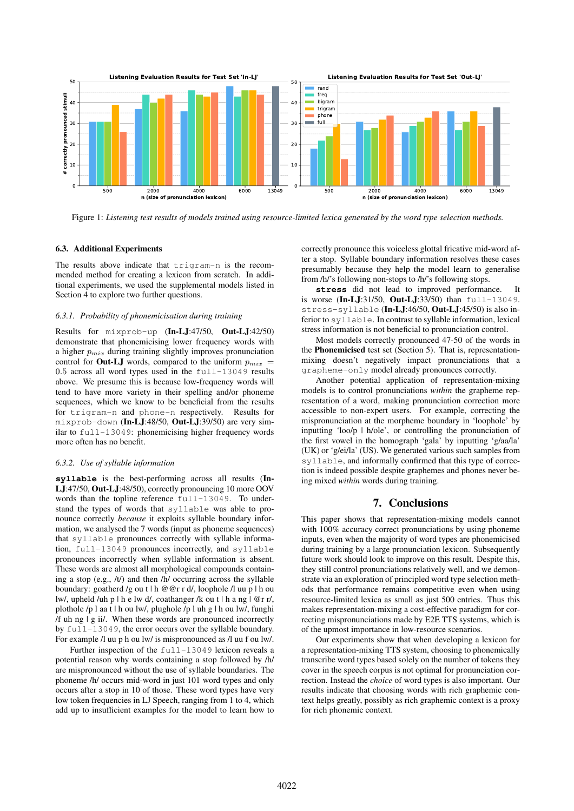

Figure 1: *Listening test results of models trained using resource-limited lexica generated by the word type selection methods.*

#### 6.3. Additional Experiments

The results above indicate that trigram-n is the recommended method for creating a lexicon from scratch. In additional experiments, we used the supplemental models listed in Section 4 to explore two further questions.

#### *6.3.1. Probability of phonemicisation during training*

Results for mixprob-up (In-LJ:47/50, Out-LJ:42/50) demonstrate that phonemicising lower frequency words with a higher  $p_{mix}$  during training slightly improves pronunciation control for **Out-LJ** words, compared to the uniform  $p_{mix}$  = 0.5 across all word types used in the full-13049 results above. We presume this is because low-frequency words will tend to have more variety in their spelling and/or phoneme sequences, which we know to be beneficial from the results for trigram-n and phone-n respectively. Results for mixprob-down (In-LJ:48/50, Out-LJ:39/50) are very similar to full-13049: phonemicising higher frequency words more often has no benefit.

## *6.3.2. Use of syllable information*

**syllable** is the best-performing across all results (In-LJ:47/50, Out-LJ:48/50), correctly pronouncing 10 more OOV words than the topline reference full-13049. To understand the types of words that syllable was able to pronounce correctly *because* it exploits syllable boundary information, we analysed the 7 words (input as phoneme sequences) that syllable pronounces correctly with syllable information, full-13049 pronounces incorrectly, and syllable pronounces incorrectly when syllable information is absent. These words are almost all morphological compounds containing a stop (e.g., /t/) and then /h/ occurring across the syllable boundary: goatherd /g ou t | h @@r r d/, loophole /l uu p | h ou lw/, upheld /uh p | h e lw d/, coathanger /k ou t | h a ng | @r r/, plothole /p l aa t | h ou lw/, plughole /p l uh g | h ou lw/, funghi /f uh ng | g ii/. When these words are pronounced incorrectly by full-13049, the error occurs over the syllable boundary. For example /l uu p h ou lw/ is mispronounced as /l uu f ou lw/.

Further inspection of the full-13049 lexicon reveals a potential reason why words containing a stop followed by /h/ are mispronounced without the use of syllable boundaries. The phoneme /h/ occurs mid-word in just 101 word types and only occurs after a stop in 10 of those. These word types have very low token frequencies in LJ Speech, ranging from 1 to 4, which add up to insufficient examples for the model to learn how to correctly pronounce this voiceless glottal fricative mid-word after a stop. Syllable boundary information resolves these cases presumably because they help the model learn to generalise from /h/'s following non-stops to /h/'s following stops.

**stress** did not lead to improved performance. It is worse (In-LJ:31/50, Out-LJ:33/50) than full-13049. stress-syllable (In-LJ:46/50, Out-LJ:45/50) is also inferior to syllable. In contrast to syllable information, lexical stress information is not beneficial to pronunciation control.

Most models correctly pronounced 47-50 of the words in the Phonemicised test set (Section 5). That is, representationmixing doesn't negatively impact pronunciations that a grapheme-only model already pronounces correctly.

Another potential application of representation-mixing models is to control pronunciations *within* the grapheme representation of a word, making pronunciation correction more accessible to non-expert users. For example, correcting the mispronunciation at the morpheme boundary in 'loophole' by inputting 'loo/p | h/ole', or controlling the pronunciation of the first vowel in the homograph 'gala' by inputting 'g/aa/la' (UK) or 'g/ei/la' (US). We generated various such samples from syllable, and informally confirmed that this type of correction is indeed possible despite graphemes and phones never being mixed *within* words during training.

## 7. Conclusions

This paper shows that representation-mixing models cannot with 100% accuracy correct pronunciations by using phoneme inputs, even when the majority of word types are phonemicised during training by a large pronunciation lexicon. Subsequently future work should look to improve on this result. Despite this, they still control pronunciations relatively well, and we demonstrate via an exploration of principled word type selection methods that performance remains competitive even when using resource-limited lexica as small as just 500 entries. Thus this makes representation-mixing a cost-effective paradigm for correcting mispronunciations made by E2E TTS systems, which is of the upmost importance in low-resource scenarios.

Our experiments show that when developing a lexicon for a representation-mixing TTS system, choosing to phonemically transcribe word types based solely on the number of tokens they cover in the speech corpus is not optimal for pronunciation correction. Instead the *choice* of word types is also important. Our results indicate that choosing words with rich graphemic context helps greatly, possibly as rich graphemic context is a proxy for rich phonemic context.